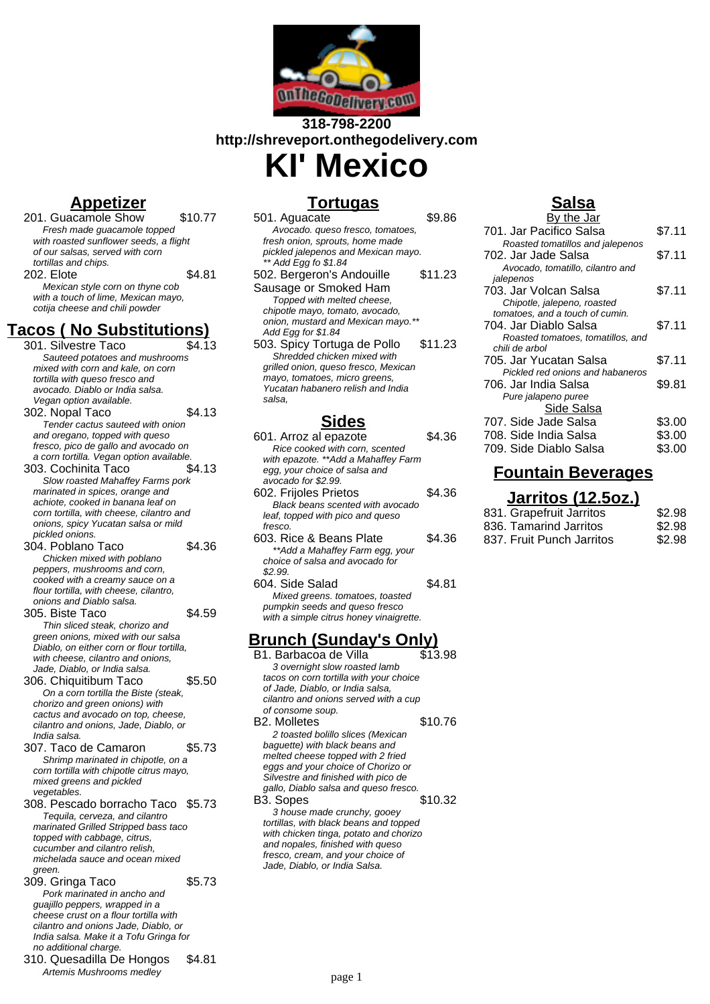

#### **318-798-2200 http://shreveport.onthegodelivery.com KI' Mexico**

## **Appetizer**

201. Guacamole Show \$10.77 Fresh made guacamole topped with roasted sunflower seeds, a flight of our salsas, served with corn tortillas and chips. 202. Elote \$4.81 Mexican style corn on thyne cob with a touch of lime, Mexican mayo, cotija cheese and chili powder

# **Tacos ( No Substitutions)**

- 301. Silvestre Taco Sauteed potatoes and mushrooms mixed with corn and kale, on corn tortilla with queso fresco and avocado. Diablo or India salsa. Vegan option available. 302. Nopal Taco \$4.13 Tender cactus sauteed with onion and oregano, topped with queso fresco, pico de gallo and avocado on a corn tortilla. Vegan option available. 303. Cochinita Taco \$4.13 Slow roasted Mahaffey Farms pork marinated in spices, orange and achiote, cooked in banana leaf on corn tortilla, with cheese, cilantro and onions, spicy Yucatan salsa or mild pickled onions. 304. Poblano Taco \$4.36 Chicken mixed with poblano peppers, mushrooms and corn, cooked with a creamy sauce on a flour tortilla, with cheese, cilantro, onions and Diablo salsa. 305. Biste Taco \$4.59 Thin sliced steak, chorizo and green onions, mixed with our salsa Diablo, on either corn or flour tortilla, with cheese, cilantro and onions, Jade, Diablo, or India salsa.
- 306. Chiquitibum Taco \$5.50 On a corn tortilla the Biste (steak, chorizo and green onions) with cactus and avocado on top, cheese, cilantro and onions, Jade, Diablo, or India salsa.
- 307. Taco de Camaron \$5.73 Shrimp marinated in chipotle, on a corn tortilla with chipotle citrus mayo, mixed greens and pickled vegetables.
- 308. Pescado borracho Taco \$5.73 Tequila, cerveza, and cilantro marinated Grilled Stripped bass taco topped with cabbage, citrus, cucumber and cilantro relish, michelada sauce and ocean mixed green.
- 309. Gringa Taco \$5.73 Pork marinated in ancho and guajillo peppers, wrapped in a cheese crust on a flour tortilla with cilantro and onions Jade, Diablo, or India salsa. Make it a Tofu Gringa for no additional charge.
- 310. Quesadilla De Hongos \$4.81 Artemis Mushrooms medley

# **Tortugas**

| 501. Aguacate                        | \$9.86  |
|--------------------------------------|---------|
| Avocado. queso fresco, tomatoes,     |         |
| fresh onion, sprouts, home made      |         |
| pickled jalepenos and Mexican mayo.  |         |
| ** Add Egg fo \$1.84                 |         |
| 502. Bergeron's Andouille            | \$11.23 |
| Sausage or Smoked Ham                |         |
| Topped with melted cheese,           |         |
| chipotle mayo, tomato, avocado,      |         |
| onion, mustard and Mexican mayo.**   |         |
| Add Egg for \$1.84                   |         |
| 503. Spicy Tortuga de Pollo          | \$11.23 |
| Shredded chicken mixed with          |         |
| grilled onion, queso fresco, Mexican |         |
| mayo, tomatoes, micro greens,        |         |
| Yucatan habanero relish and India    |         |
| salsa.                               |         |
| J.a.,                                |         |

# **Sides**

| 601. Arroz al epazote                   | \$4 36 |
|-----------------------------------------|--------|
| Rice cooked with corn, scented          |        |
| with epazote. **Add a Mahaffey Farm     |        |
| egg, your choice of salsa and           |        |
| avocado for \$2.99.                     |        |
| 602. Frijoles Prietos                   | \$4.36 |
| Black beans scented with avocado        |        |
| leaf, topped with pico and queso        |        |
| fresco.                                 |        |
| 603. Rice & Beans Plate                 | \$4.36 |
| ** Add a Mahaffey Farm egg, your        |        |
| choice of salsa and avocado for         |        |
| \$2.99.                                 |        |
| 604. Side Salad                         | \$4.81 |
| Mixed greens. tomatoes, toasted         |        |
| pumpkin seeds and queso fresco          |        |
| with a simple citrus honey vinaigrette. |        |
|                                         |        |

#### **Brunch (Sunday's Only)**

B1. Barbacoa de Villa \$13.98 3 overnight slow roasted lamb tacos on corn tortilla with your choice of Jade, Diablo, or India salsa, cilantro and onions served with a cup of consome soup. B2. Molletes \$10.76 2 toasted bolillo slices (Mexican baguette) with black beans and melted cheese topped with 2 fried eggs and your choice of Chorizo or Silvestre and finished with pico de gallo, Diablo salsa and queso fresco. B3. Sopes \$10.32 3 house made crunchy, gooey tortillas, with black beans and topped with chicken tinga, potato and chorizo and nopales, finished with queso fresco, cream, and your choice of Jade, Diablo, or India Salsa.

## **Salsa**

| <u>By the Jar</u>                 |        |
|-----------------------------------|--------|
| 701. Jar Pacifico Salsa           | \$7.11 |
| Roasted tomatillos and jalepenos  |        |
| 702. Jar Jade Salsa               | \$7.11 |
| Avocado, tomatillo, cilantro and  |        |
| jalepenos                         |        |
| 703. Jar Volcan Salsa             | \$7.11 |
| Chipotle, jalepeno, roasted       |        |
| tomatoes, and a touch of cumin.   |        |
| 704. Jar Diablo Salsa             | \$7.11 |
| Roasted tomatoes, tomatillos, and |        |
| chili de arbol                    |        |
| 705. Jar Yucatan Salsa            | \$7.11 |
| Pickled red onions and habaneros  |        |
| 706. Jar India Salsa              | \$9.81 |
| Pure jalapeno puree               |        |
| Side Salsa                        |        |
| 707. Side Jade Salsa              | \$3.00 |
| 708. Side India Salsa             | \$3.00 |
| 709. Side Diablo Salsa            | \$3.00 |
|                                   |        |

# **Fountain Beverages**

#### **Jarritos (12.5oz.)**

| 831. Grapefruit Jarritos  | \$2.98 |
|---------------------------|--------|
| 836. Tamarind Jarritos    | \$2.98 |
| 837. Fruit Punch Jarritos | \$2.98 |